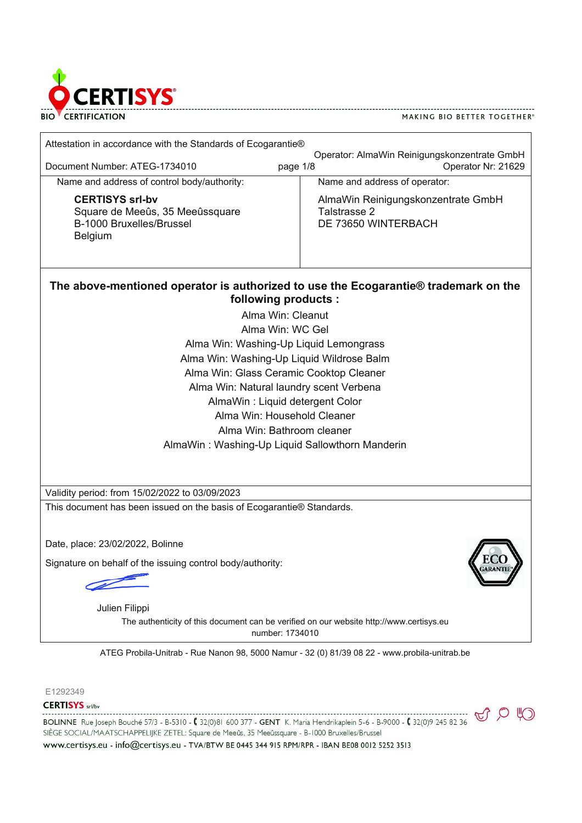

| Attestation in accordance with the Standards of Ecogarantie!                                                |                                                                                |
|-------------------------------------------------------------------------------------------------------------|--------------------------------------------------------------------------------|
| Document Number: ATEG-1734010                                                                               | Operator: AlmaWin Reinigungskonzentrate GmbH<br>Operator Nr: 21629<br>page 1/8 |
| Name and address of control body/authority:                                                                 | Name and address of operator:                                                  |
| <b>CERTISYS srl-bv</b><br>Square de Meeûs, 35 Meeûssquare<br>B-1000 Bruxelles/Brussel<br>Belgium            | AlmaWin Reinigungskonzentrate GmbH<br>Talstrasse 2<br>DE 73650 WINTERBACH      |
| The above-mentioned operator is authorized to use the Ecogarantie! trademark on the<br>following products : |                                                                                |
| Alma Win: Cleanut                                                                                           |                                                                                |
| Alma Win: WC Gel                                                                                            |                                                                                |
| Alma Win: Washing-Up Liquid Lemongrass                                                                      |                                                                                |
| Alma Win: Washing-Up Liquid Wildrose Balm                                                                   |                                                                                |
| Alma Win: Glass Ceramic Cooktop Cleaner                                                                     |                                                                                |
| Alma Win: Natural laundry scent Verbena                                                                     |                                                                                |
| AlmaWin: Liquid detergent Color                                                                             |                                                                                |
| Alma Win: Household Cleaner                                                                                 |                                                                                |
| Alma Win: Bathroom cleaner                                                                                  |                                                                                |
| AlmaWin: Washing-Up Liquid Sallowthorn Manderin                                                             |                                                                                |
|                                                                                                             |                                                                                |
| Validity period: from 15/02/2022 to 03/09/2023                                                              |                                                                                |
| This document has been issued on the basis of Ecogarantie! Standards.                                       |                                                                                |
|                                                                                                             |                                                                                |
| Date, place: 23/02/2022, Bolinne                                                                            |                                                                                |
| Signature on behalf of the issuing control body/authority:                                                  |                                                                                |
|                                                                                                             |                                                                                |
|                                                                                                             |                                                                                |
| Julien Filippi                                                                                              |                                                                                |
| The authenticity of this document can be verified on our website http://www.certisys.eu<br>number: 1734010  |                                                                                |
| ATEG Probila-Unitrab - Rue Nanon 98, 5000 Namur - 32 (0) 81/39 08 22 - www.probila-unitrab.be               |                                                                                |

E1292349

**CERTISYS** srl/bv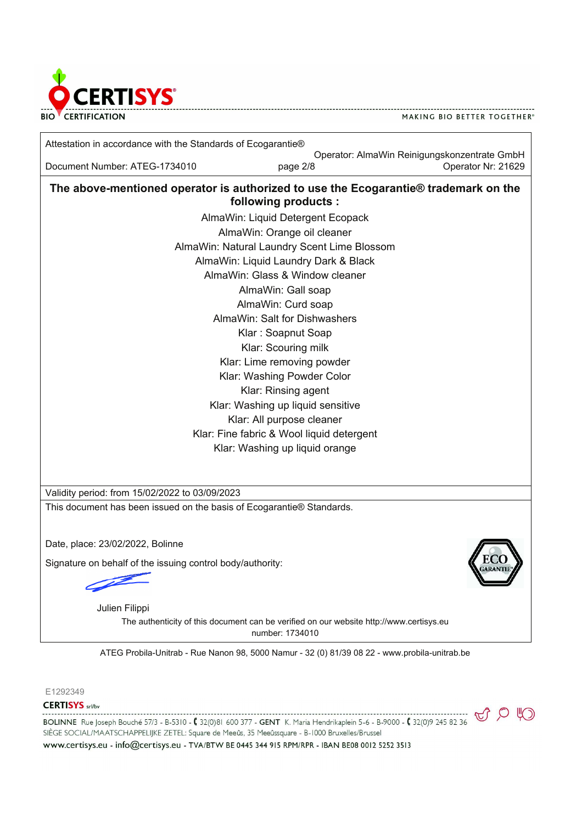

Attestation in accordance with the Standards of Ecogarantie!

Operator: AlmaWin Reinigungskonzentrate GmbH Document Number: ATEG-1734010 **page 2/8 Document Number: 21629** 

**The above-mentioned operator is authorized to use the Ecogarantie! trademark on the following products :**

> AlmaWin: Liquid Detergent Ecopack AlmaWin: Orange oil cleaner AlmaWin: Natural Laundry Scent Lime Blossom AlmaWin: Liquid Laundry Dark & Black AlmaWin: Glass & Window cleaner AlmaWin: Gall soap AlmaWin: Curd soap AlmaWin: Salt for Dishwashers Klar : Soapnut Soap Klar: Scouring milk Klar: Lime removing powder Klar: Washing Powder Color Klar: Rinsing agent Klar: Washing up liquid sensitive Klar: All purpose cleaner Klar: Fine fabric & Wool liquid detergent Klar: Washing up liquid orange

Validity period: from 15/02/2022 to 03/09/2023

This document has been issued on the basis of Ecogarantie! Standards.

Date, place: 23/02/2022, Bolinne

Signature on behalf of the issuing control body/authority:

Signature Certifiers and the Certifiers of the Certifiers and

The authenticity of this document can be verified on our website http://www.certisys.eu number: 1734010 Julien Filippi

ATEG Probila-Unitrab - Rue Nanon 98, 5000 Namur - 32 (0) 81/39 08 22 - www.probila-unitrab.be

E1292349

**CERTISYS** srl/bv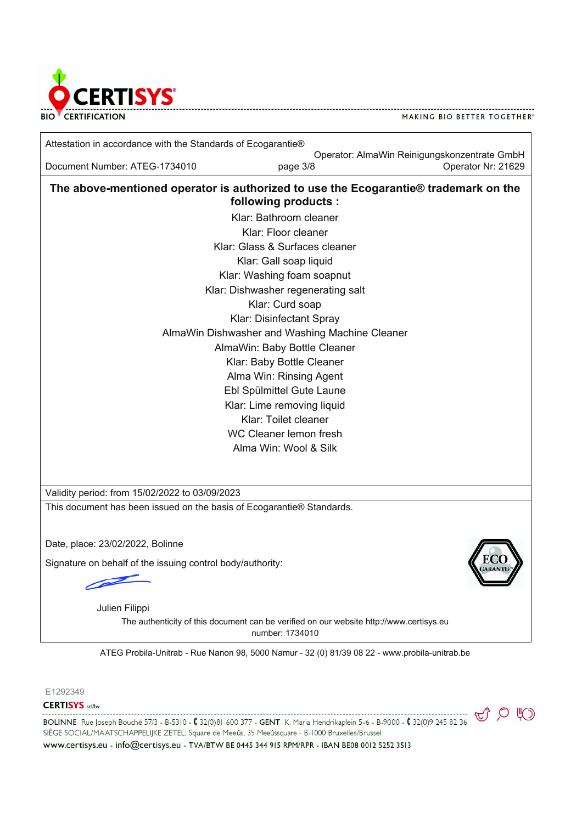

Attestation in accordance with the Standards of Ecogarantie!

Operator: AlmaWin Reinigungskonzentrate GmbH Document Number: ATEG-1734010 page 3/8 Operator Nr: 21629

**The above-mentioned operator is authorized to use the Ecogarantie! trademark on the following products :**

> Klar: Bathroom cleaner Klar: Floor cleaner Klar: Glass & Surfaces cleaner Klar: Gall soap liquid Klar: Washing foam soapnut Klar: Dishwasher regenerating salt Klar: Curd soap Klar: Disinfectant Spray AlmaWin Dishwasher and Washing Machine Cleaner AlmaWin: Baby Bottle Cleaner Klar: Baby Bottle Cleaner Alma Win: Rinsing Agent Ebl Spülmittel Gute Laune Klar: Lime removing liquid Klar: Toilet cleaner WC Cleaner lemon fresh Alma Win: Wool & Silk

Validity period: from 15/02/2022 to 03/09/2023

This document has been issued on the basis of Ecogarantie! Standards.

Date, place: 23/02/2022, Bolinne

Signature on behalf of the issuing control body/authority:

Signature<sup>C</sup>ertifiers

The authenticity of this document can be verified on our website http://www.certisys.eu number: 1734010 Julien Filippi

ATEG Probila-Unitrab - Rue Nanon 98, 5000 Namur - 32 (0) 81/39 08 22 - www.probila-unitrab.be

E1292349

**CERTISYS** srl/bv